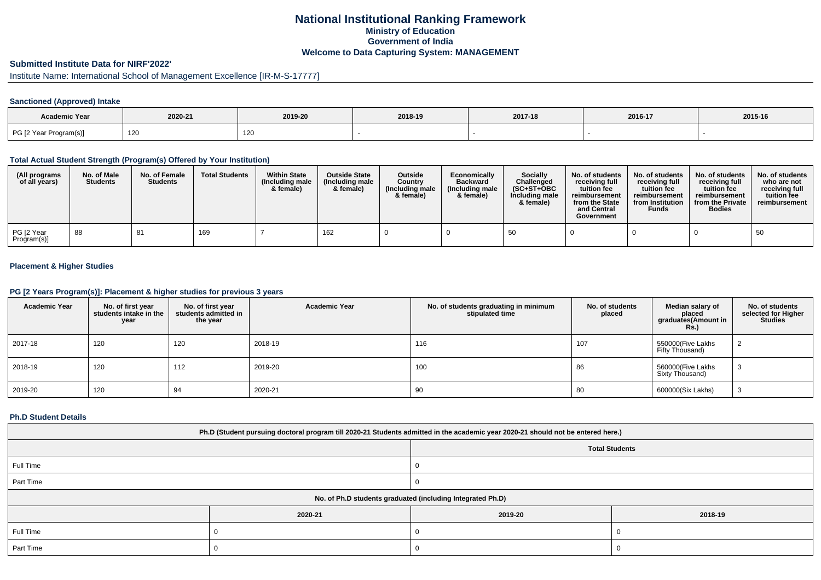## **National Institutional Ranking FrameworkMinistry of Education Government of IndiaWelcome to Data Capturing System: MANAGEMENT**

# **Submitted Institute Data for NIRF'2022'**

# Institute Name: International School of Management Excellence [IR-M-S-17777]

### **Sanctioned (Approved) Intake**

| Academic Year          |         |         |         |         |         |         |
|------------------------|---------|---------|---------|---------|---------|---------|
|                        | 2020-21 | 2019-20 | 2018-19 | 2017-18 | 2016-17 | 2015-16 |
| PG [2 Year Program(s)] | 120     | 120     |         |         |         |         |

#### **Total Actual Student Strength (Program(s) Offered by Your Institution)**

| (All programs<br>of all years) | No. of Male<br><b>Students</b> | No. of Female<br><b>Students</b> | <b>Total Students</b> | <b>Within State</b><br>(Including male<br>& female) | <b>Outside State</b><br>(Including male<br>& female) | Outside<br>Country<br>(Including male<br>& female) | Economically<br><b>Backward</b><br>(Including male<br>& female) | <b>Socially</b><br>Challenged<br>$(SC+ST+OBC$<br>Including male<br>& female) | No. of students<br>receivina full<br>tuition fee<br>reimbursement<br>from the State<br>and Central<br>Government | No. of students<br>receiving full<br>tuition fee<br>reimbursement<br>from Institution<br><b>Funds</b> | No. of students<br>receiving full<br>tuition fee<br>reimbursement<br>from the Private<br><b>Bodies</b> | No. of students  <br>who are not<br>receivina full<br>tuition fee<br>reimbursement |
|--------------------------------|--------------------------------|----------------------------------|-----------------------|-----------------------------------------------------|------------------------------------------------------|----------------------------------------------------|-----------------------------------------------------------------|------------------------------------------------------------------------------|------------------------------------------------------------------------------------------------------------------|-------------------------------------------------------------------------------------------------------|--------------------------------------------------------------------------------------------------------|------------------------------------------------------------------------------------|
| PG [2 Year<br>Program(s)]      | 88                             | 81                               | 169                   |                                                     | 162                                                  |                                                    |                                                                 | 50                                                                           |                                                                                                                  |                                                                                                       |                                                                                                        | 50                                                                                 |

### **Placement & Higher Studies**

#### **PG [2 Years Program(s)]: Placement & higher studies for previous 3 years**

| <b>Academic Year</b> | No. of first year<br>students intake in the<br>year | No. of first vear<br>students admitted in<br>the year | <b>Academic Year</b> | No. of students graduating in minimum<br>stipulated time | No. of students<br>placed | Median salary of<br>placed<br>graduates(Amount in<br>Rs.) | No. of students<br>selected for Higher<br><b>Studies</b> |
|----------------------|-----------------------------------------------------|-------------------------------------------------------|----------------------|----------------------------------------------------------|---------------------------|-----------------------------------------------------------|----------------------------------------------------------|
| 2017-18              | 120                                                 | 120                                                   | 2018-19              | 116                                                      | 107                       | 550000(Five Lakhs<br>Fifty Thousand)                      |                                                          |
| 2018-19              | 120                                                 | 112                                                   | 2019-20              | 100                                                      | 86                        | 560000(Five Lakhs<br>Sixty Thousand)                      | ۰J                                                       |
| 2019-20              | 120                                                 | 94                                                    | 2020-21              | 90                                                       | 80                        | 600000(Six Lakhs)                                         | 3                                                        |

#### **Ph.D Student Details**

| Ph.D (Student pursuing doctoral program till 2020-21 Students admitted in the academic year 2020-21 should not be entered here.) |                                                            |         |         |  |  |  |  |  |
|----------------------------------------------------------------------------------------------------------------------------------|------------------------------------------------------------|---------|---------|--|--|--|--|--|
| <b>Total Students</b>                                                                                                            |                                                            |         |         |  |  |  |  |  |
| Full Time                                                                                                                        |                                                            |         |         |  |  |  |  |  |
| Part Time                                                                                                                        |                                                            |         |         |  |  |  |  |  |
|                                                                                                                                  | No. of Ph.D students graduated (including Integrated Ph.D) |         |         |  |  |  |  |  |
|                                                                                                                                  | 2020-21                                                    | 2019-20 | 2018-19 |  |  |  |  |  |
| Full Time                                                                                                                        |                                                            |         |         |  |  |  |  |  |
| Part Time                                                                                                                        |                                                            |         |         |  |  |  |  |  |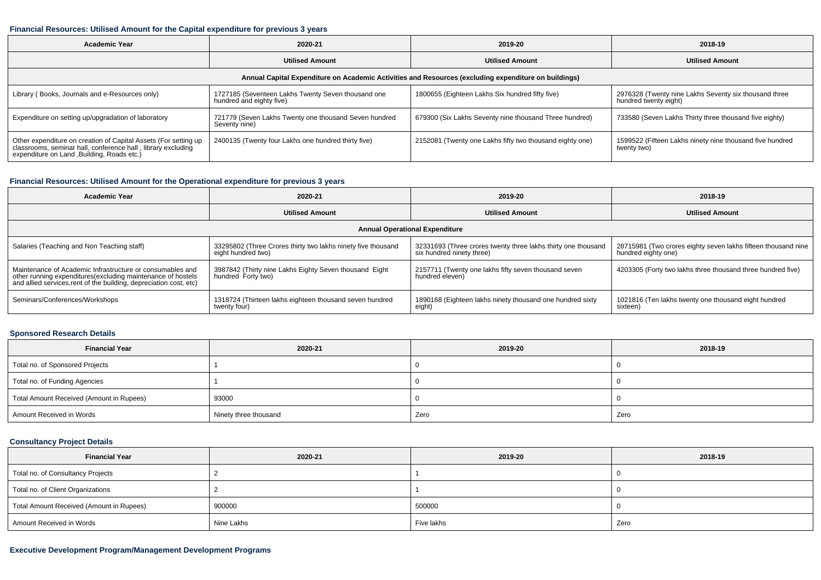#### **Financial Resources: Utilised Amount for the Capital expenditure for previous 3 years**

| <b>Academic Year</b><br>2020-21                                                                                                                                                |                                                                                | 2019-20                                                                                              | 2018-19                                                                        |  |
|--------------------------------------------------------------------------------------------------------------------------------------------------------------------------------|--------------------------------------------------------------------------------|------------------------------------------------------------------------------------------------------|--------------------------------------------------------------------------------|--|
|                                                                                                                                                                                | <b>Utilised Amount</b>                                                         |                                                                                                      | <b>Utilised Amount</b>                                                         |  |
|                                                                                                                                                                                |                                                                                | Annual Capital Expenditure on Academic Activities and Resources (excluding expenditure on buildings) |                                                                                |  |
| Library (Books, Journals and e-Resources only)                                                                                                                                 | 1727185 (Seventeen Lakhs Twenty Seven thousand one<br>hundred and eighty five) | 1800655 (Eighteen Lakhs Six hundred fifty five)                                                      | 2976328 (Twenty nine Lakhs Seventy six thousand three<br>hundred twenty eight) |  |
| Expenditure on setting up/upgradation of laboratory                                                                                                                            | 721779 (Seven Lakhs Twenty one thousand Seven hundred<br>Seventy nine)         | 679300 (Six Lakhs Seventy nine thousand Three hundred)                                               | 733580 (Seven Lakhs Thirty three thousand five eighty)                         |  |
| Other expenditure on creation of Capital Assets (For setting up<br>classrooms, seminar hall, conference hall, library excluding<br>expenditure on Land , Building, Roads etc.) | 2400135 (Twenty four Lakhs one hundred thirty five)                            | 2152081 (Twenty one Lakhs fifty two thousand eighty one)                                             | 1599522 (Fifteen Lakhs ninety nine thousand five hundred<br>twenty two)        |  |

### **Financial Resources: Utilised Amount for the Operational expenditure for previous 3 years**

| <b>Academic Year</b>                                                                                                              | 2020-21                                                      | 2019-20                                                       | 2018-19                                                       |  |
|-----------------------------------------------------------------------------------------------------------------------------------|--------------------------------------------------------------|---------------------------------------------------------------|---------------------------------------------------------------|--|
| <b>Utilised Amount</b>                                                                                                            |                                                              | <b>Utilised Amount</b>                                        | <b>Utilised Amount</b>                                        |  |
|                                                                                                                                   |                                                              | <b>Annual Operational Expenditure</b>                         |                                                               |  |
| Salaries (Teaching and Non Teaching staff)                                                                                        | 33295802 (Three Crores thirty two lakhs ninety five thousand | 32331693 (Three crores twenty three lakhs thirty one thousand | 28715981 (Two crores eighty seven lakhs fifteen thousand nine |  |
|                                                                                                                                   | eight hundred two)                                           | six hundred ninety three)                                     | hundred eighty one)                                           |  |
| Maintenance of Academic Infrastructure or consumables and                                                                         | 3987842 (Thirty nine Lakhs Eighty Seven thousand Eight       | 2157711 (Twenty one lakhs fifty seven thousand seven          | 4203305 (Forty two lakhs three thousand three hundred five)   |  |
| other running expenditures(excluding maintenance of hostels<br>and allied services, rent of the building, depreciation cost, etc) | hundred Forty two)                                           | hundred eleven)                                               |                                                               |  |
| Seminars/Conferences/Workshops                                                                                                    | 1318724 (Thirteen lakhs eighteen thousand seven hundred      | 1890168 (Eighteen lakhs ninety thousand one hundred sixty     | 1021816 (Ten lakhs twenty one thousand eight hundred          |  |
|                                                                                                                                   | twenty four)                                                 | eight)                                                        | sixteen)                                                      |  |

### **Sponsored Research Details**

| <b>Financial Year</b>                    | 2020-21               | 2019-20 | 2018-19 |
|------------------------------------------|-----------------------|---------|---------|
| Total no. of Sponsored Projects          |                       |         |         |
| Total no. of Funding Agencies            |                       |         |         |
| Total Amount Received (Amount in Rupees) | 93000                 |         |         |
| Amount Received in Words                 | Ninety three thousand | Zero    | Zero    |

## **Consultancy Project Details**

| <b>Financial Year</b>                    | 2020-21    | 2019-20    | 2018-19 |
|------------------------------------------|------------|------------|---------|
| Total no. of Consultancy Projects        |            |            |         |
| Total no. of Client Organizations        |            |            |         |
| Total Amount Received (Amount in Rupees) | 900000     | 500000     |         |
| Amount Received in Words                 | Nine Lakhs | Five lakhs | Zero    |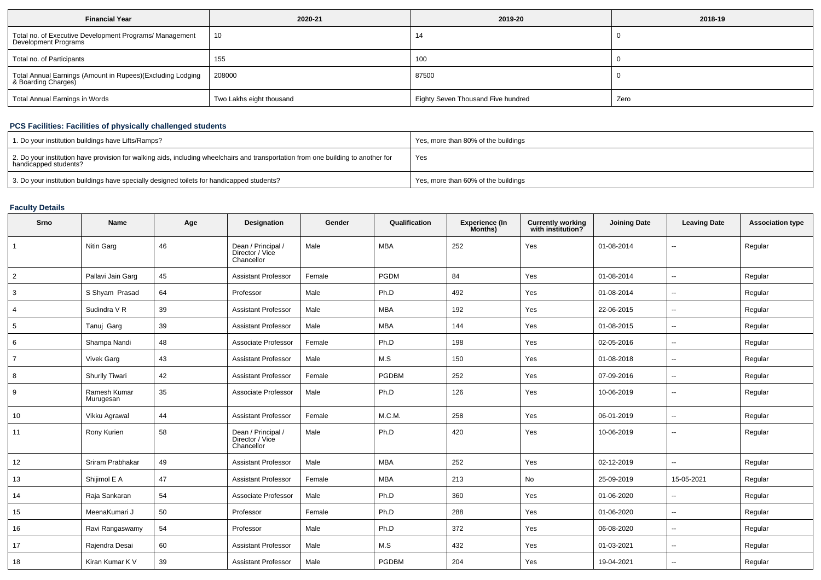| <b>Financial Year</b>                                                             | 2020-21                  | 2019-20                            | 2018-19 |
|-----------------------------------------------------------------------------------|--------------------------|------------------------------------|---------|
| Total no. of Executive Development Programs/ Management<br>Development Programs   | 10                       | 14                                 |         |
| Total no. of Participants                                                         | 155                      | 100                                |         |
| Total Annual Earnings (Amount in Rupees)(Excluding Lodging<br>& Boarding Charges) | 208000                   | 87500                              |         |
| Total Annual Earnings in Words                                                    | Two Lakhs eight thousand | Eighty Seven Thousand Five hundred | Zero    |

## **PCS Facilities: Facilities of physically challenged students**

| 1. Do your institution buildings have Lifts/Ramps?                                                                                                         | Yes, more than 80% of the buildings |
|------------------------------------------------------------------------------------------------------------------------------------------------------------|-------------------------------------|
| 2. Do your institution have provision for walking aids, including wheelchairs and transportation from one building to another for<br>handicapped students? | Yes                                 |
| 3. Do your institution buildings have specially designed toilets for handicapped students?                                                                 | Yes, more than 60% of the buildings |

## **Faculty Details**

| Srno           | <b>Name</b>               | Age | Designation                                         | Gender | Qualification | <b>Experience (In</b><br>Months) | <b>Currently working</b><br>with institution? | <b>Joining Date</b> | <b>Leaving Date</b>      | <b>Association type</b> |
|----------------|---------------------------|-----|-----------------------------------------------------|--------|---------------|----------------------------------|-----------------------------------------------|---------------------|--------------------------|-------------------------|
|                | <b>Nitin Garg</b>         | 46  | Dean / Principal /<br>Director / Vice<br>Chancellor | Male   | <b>MBA</b>    | 252                              | Yes                                           | 01-08-2014          | --                       | Regular                 |
| 2              | Pallavi Jain Garg         | 45  | <b>Assistant Professor</b>                          | Female | <b>PGDM</b>   | 84                               | Yes                                           | 01-08-2014          | $\overline{\phantom{a}}$ | Regular                 |
| 3              | S Shyam Prasad            | 64  | Professor                                           | Male   | Ph.D          | 492                              | Yes                                           | 01-08-2014          | ۰.                       | Regular                 |
| 4              | Sudindra V R              | 39  | <b>Assistant Professor</b>                          | Male   | <b>MBA</b>    | 192                              | Yes                                           | 22-06-2015          | $\overline{\phantom{a}}$ | Regular                 |
| 5              | Tanuj Garg                | 39  | <b>Assistant Professor</b>                          | Male   | <b>MBA</b>    | 144                              | Yes                                           | 01-08-2015          | ⊷.                       | Regular                 |
| 6              | Shampa Nandi              | 48  | Associate Professor                                 | Female | Ph.D          | 198                              | Yes                                           | 02-05-2016          | --                       | Regular                 |
| $\overline{7}$ | <b>Vivek Garg</b>         | 43  | <b>Assistant Professor</b>                          | Male   | M.S           | 150                              | Yes                                           | 01-08-2018          | --                       | Regular                 |
| 8              | <b>Shurlly Tiwari</b>     | 42  | <b>Assistant Professor</b>                          | Female | PGDBM         | 252                              | Yes                                           | 07-09-2016          | --                       | Regular                 |
| 9              | Ramesh Kumar<br>Murugesan | 35  | Associate Professor                                 | Male   | Ph.D          | 126                              | Yes                                           | 10-06-2019          | $\sim$                   | Regular                 |
| 10             | Vikku Agrawal             | 44  | <b>Assistant Professor</b>                          | Female | M.C.M.        | 258                              | Yes                                           | 06-01-2019          | --                       | Regular                 |
| 11             | Rony Kurien               | 58  | Dean / Principal /<br>Director / Vice<br>Chancellor | Male   | Ph.D          | 420                              | Yes                                           | 10-06-2019          | $\overline{\phantom{a}}$ | Regular                 |
| 12             | Sriram Prabhakar          | 49  | <b>Assistant Professor</b>                          | Male   | MBA           | 252                              | Yes                                           | 02-12-2019          | $\overline{\phantom{a}}$ | Regular                 |
| 13             | Shijimol E A              | 47  | <b>Assistant Professor</b>                          | Female | <b>MBA</b>    | 213                              | No                                            | 25-09-2019          | 15-05-2021               | Regular                 |
| 14             | Raja Sankaran             | 54  | Associate Professor                                 | Male   | Ph.D          | 360                              | Yes                                           | 01-06-2020          | $\overline{\phantom{a}}$ | Regular                 |
| 15             | MeenaKumari J             | 50  | Professor                                           | Female | Ph.D          | 288                              | Yes                                           | 01-06-2020          | $\overline{\phantom{a}}$ | Regular                 |
| 16             | Ravi Rangaswamy           | 54  | Professor                                           | Male   | Ph.D          | 372                              | Yes                                           | 06-08-2020          | $\overline{\phantom{a}}$ | Regular                 |
| 17             | Rajendra Desai            | 60  | <b>Assistant Professor</b>                          | Male   | M.S           | 432                              | Yes                                           | 01-03-2021          | $\mathbf{u}$             | Regular                 |
| 18             | Kiran Kumar K V           | 39  | <b>Assistant Professor</b>                          | Male   | <b>PGDBM</b>  | 204                              | Yes                                           | 19-04-2021          | $\overline{\phantom{a}}$ | Regular                 |